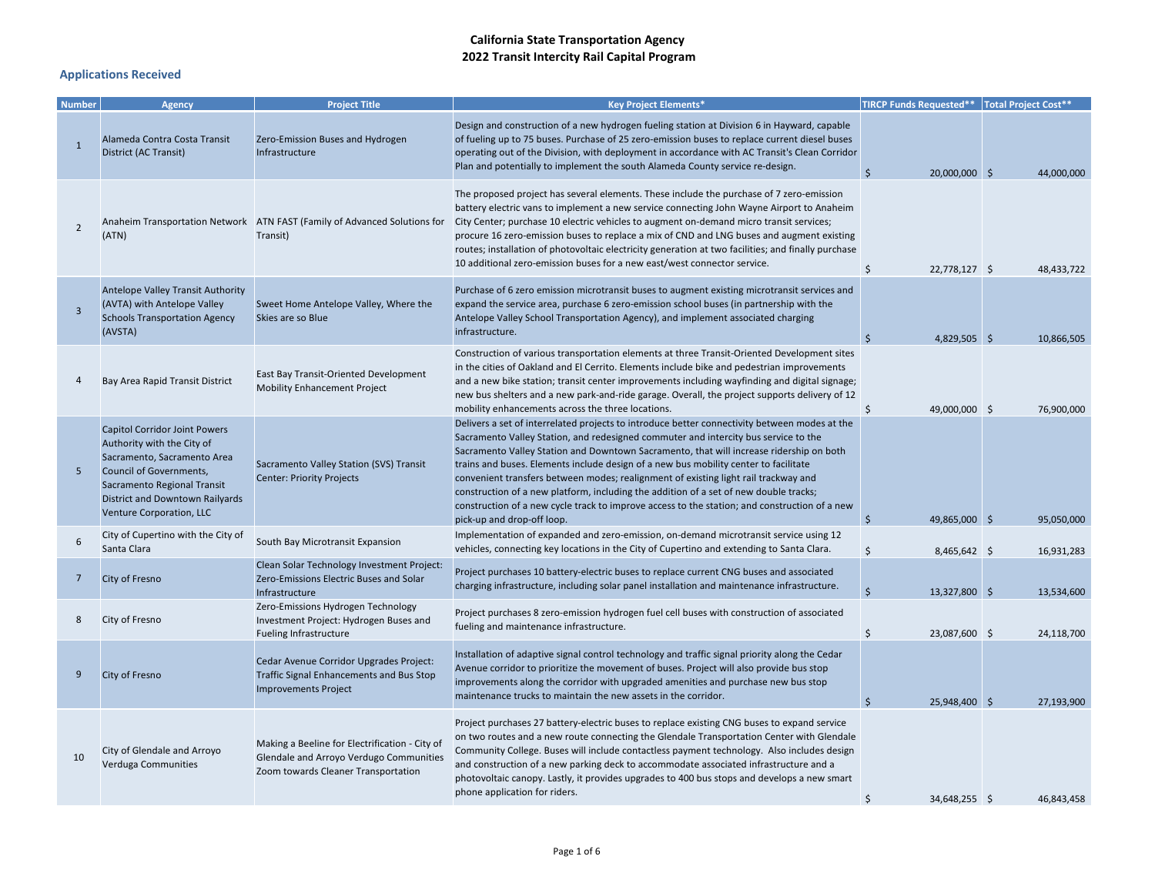| <b>Number</b>  | Agency                                                                                                                                                                                                                     | <b>Project Title</b>                                                                                                             | <b>Key Project Elements*</b>                                                                                                                                                                                                                                                                                                                                                                                                                                                                                                                                                                                                                                                           | TIRCP Funds Requested**   Total Project Cost** |            |
|----------------|----------------------------------------------------------------------------------------------------------------------------------------------------------------------------------------------------------------------------|----------------------------------------------------------------------------------------------------------------------------------|----------------------------------------------------------------------------------------------------------------------------------------------------------------------------------------------------------------------------------------------------------------------------------------------------------------------------------------------------------------------------------------------------------------------------------------------------------------------------------------------------------------------------------------------------------------------------------------------------------------------------------------------------------------------------------------|------------------------------------------------|------------|
| $\mathbf{1}$   | Alameda Contra Costa Transit<br>District (AC Transit)                                                                                                                                                                      | Zero-Emission Buses and Hydrogen<br>Infrastructure                                                                               | Design and construction of a new hydrogen fueling station at Division 6 in Hayward, capable<br>of fueling up to 75 buses. Purchase of 25 zero-emission buses to replace current diesel buses<br>operating out of the Division, with deployment in accordance with AC Transit's Clean Corridor<br>Plan and potentially to implement the south Alameda County service re-design.                                                                                                                                                                                                                                                                                                         | $\zeta$<br>20,000,000 \$                       | 44,000,000 |
| $\overline{2}$ | (ATN)                                                                                                                                                                                                                      | Anaheim Transportation Network ATN FAST (Family of Advanced Solutions for<br>Transit)                                            | The proposed project has several elements. These include the purchase of 7 zero-emission<br>battery electric vans to implement a new service connecting John Wayne Airport to Anaheim<br>City Center; purchase 10 electric vehicles to augment on-demand micro transit services;<br>procure 16 zero-emission buses to replace a mix of CND and LNG buses and augment existing<br>routes; installation of photovoltaic electricity generation at two facilities; and finally purchase<br>10 additional zero-emission buses for a new east/west connector service.                                                                                                                       | \$<br>22,778,127 \$                            | 48,433,722 |
| $\overline{3}$ | Antelope Valley Transit Authority<br>(AVTA) with Antelope Valley<br><b>Schools Transportation Agency</b><br>(AVSTA)                                                                                                        | Sweet Home Antelope Valley, Where the<br>Skies are so Blue                                                                       | Purchase of 6 zero emission microtransit buses to augment existing microtransit services and<br>expand the service area, purchase 6 zero-emission school buses (in partnership with the<br>Antelope Valley School Transportation Agency), and implement associated charging<br>infrastructure.                                                                                                                                                                                                                                                                                                                                                                                         | 4,829,505 \$                                   | 10,866,505 |
|                | Bay Area Rapid Transit District                                                                                                                                                                                            | East Bay Transit-Oriented Development<br><b>Mobility Enhancement Project</b>                                                     | Construction of various transportation elements at three Transit-Oriented Development sites<br>in the cities of Oakland and El Cerrito. Elements include bike and pedestrian improvements<br>and a new bike station; transit center improvements including wayfinding and digital signage;<br>new bus shelters and a new park-and-ride garage. Overall, the project supports delivery of 12<br>mobility enhancements across the three locations.                                                                                                                                                                                                                                       | Ś.<br>49,000,000 \$                            | 76,900,000 |
| 5              | <b>Capitol Corridor Joint Powers</b><br>Authority with the City of<br>Sacramento, Sacramento Area<br>Council of Governments,<br>Sacramento Regional Transit<br>District and Downtown Railyards<br>Venture Corporation, LLC | Sacramento Valley Station (SVS) Transit<br><b>Center: Priority Projects</b>                                                      | Delivers a set of interrelated projects to introduce better connectivity between modes at the<br>Sacramento Valley Station, and redesigned commuter and intercity bus service to the<br>Sacramento Valley Station and Downtown Sacramento, that will increase ridership on both<br>trains and buses. Elements include design of a new bus mobility center to facilitate<br>convenient transfers between modes; realignment of existing light rail trackway and<br>construction of a new platform, including the addition of a set of new double tracks;<br>construction of a new cycle track to improve access to the station; and construction of a new<br>pick-up and drop-off loop. | \$<br>49,865,000 \$                            | 95,050,000 |
| 6              | City of Cupertino with the City of<br>Santa Clara                                                                                                                                                                          | South Bay Microtransit Expansion                                                                                                 | Implementation of expanded and zero-emission, on-demand microtransit service using 12<br>vehicles, connecting key locations in the City of Cupertino and extending to Santa Clara.                                                                                                                                                                                                                                                                                                                                                                                                                                                                                                     | \$<br>8,465,642 \$                             | 16,931,283 |
| 7              | City of Fresno                                                                                                                                                                                                             | Clean Solar Technology Investment Project:<br>Zero-Emissions Electric Buses and Solar<br>Infrastructure                          | Project purchases 10 battery-electric buses to replace current CNG buses and associated<br>charging infrastructure, including solar panel installation and maintenance infrastructure.                                                                                                                                                                                                                                                                                                                                                                                                                                                                                                 | Ś<br>13,327,800 \$                             | 13,534,600 |
| 8              | City of Fresno                                                                                                                                                                                                             | Zero-Emissions Hydrogen Technology<br>Investment Project: Hydrogen Buses and<br>Fueling Infrastructure                           | Project purchases 8 zero-emission hydrogen fuel cell buses with construction of associated<br>fueling and maintenance infrastructure.                                                                                                                                                                                                                                                                                                                                                                                                                                                                                                                                                  | \$<br>23,087,600 \$                            | 24,118,700 |
| 9              | City of Fresno                                                                                                                                                                                                             | Cedar Avenue Corridor Upgrades Project:<br><b>Traffic Signal Enhancements and Bus Stop</b><br><b>Improvements Project</b>        | Installation of adaptive signal control technology and traffic signal priority along the Cedar<br>Avenue corridor to prioritize the movement of buses. Project will also provide bus stop<br>improvements along the corridor with upgraded amenities and purchase new bus stop<br>maintenance trucks to maintain the new assets in the corridor.                                                                                                                                                                                                                                                                                                                                       | <b>S</b><br>25,948,400 \$                      | 27,193,900 |
| 10             | City of Glendale and Arroyo<br>Verduga Communities                                                                                                                                                                         | Making a Beeline for Electrification - City of<br>Glendale and Arroyo Verdugo Communities<br>Zoom towards Cleaner Transportation | Project purchases 27 battery-electric buses to replace existing CNG buses to expand service<br>on two routes and a new route connecting the Glendale Transportation Center with Glendale<br>Community College. Buses will include contactless payment technology. Also includes design<br>and construction of a new parking deck to accommodate associated infrastructure and a<br>photovoltaic canopy. Lastly, it provides upgrades to 400 bus stops and develops a new smart<br>phone application for riders.                                                                                                                                                                        | 34,648,255 \$                                  | 46.843.458 |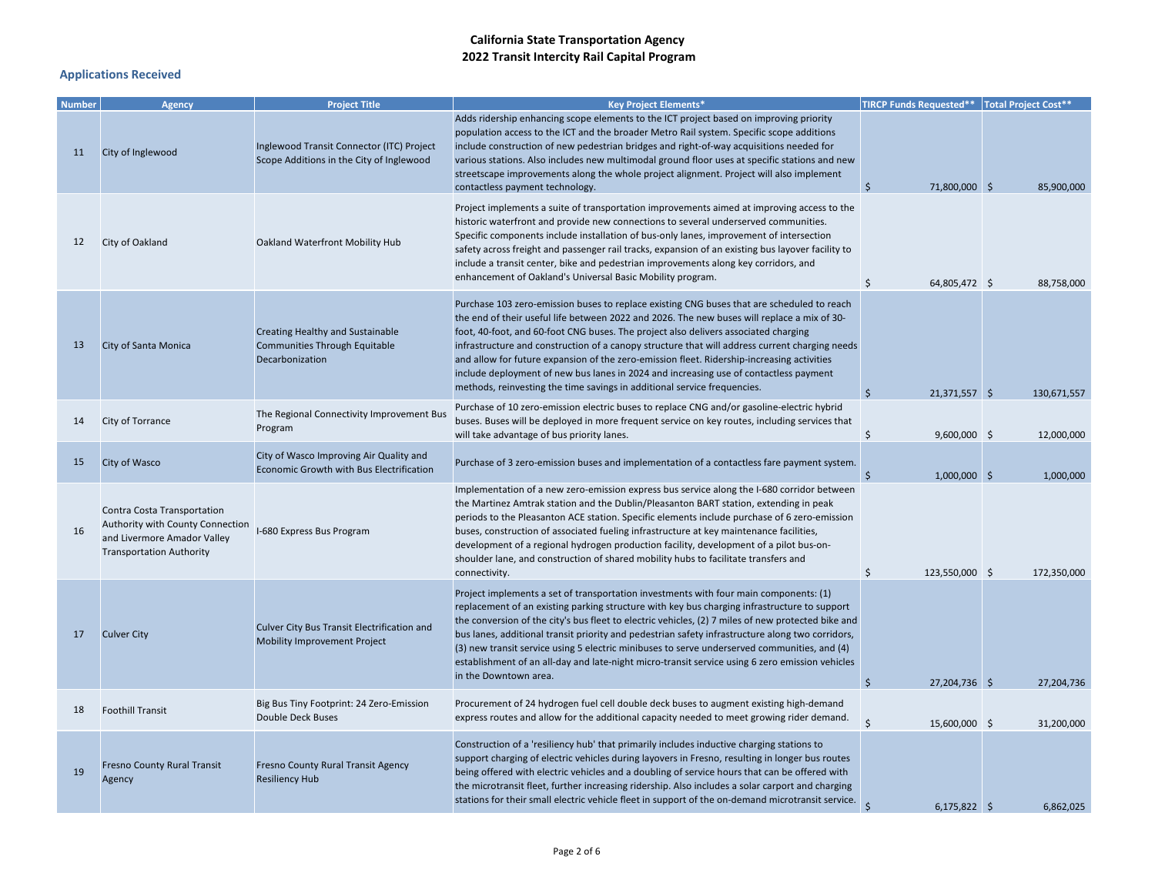| <b>Number</b> | <b>Agency</b>                                                                                                                     | <b>Project Title</b>                                                                  | <b>Key Project Elements*</b>                                                                                                                                                                                                                                                                                                                                                                                                                                                                                                                                                                                                                          | <b>TIRCP Funds Requested**</b> Total Project Cost** |             |
|---------------|-----------------------------------------------------------------------------------------------------------------------------------|---------------------------------------------------------------------------------------|-------------------------------------------------------------------------------------------------------------------------------------------------------------------------------------------------------------------------------------------------------------------------------------------------------------------------------------------------------------------------------------------------------------------------------------------------------------------------------------------------------------------------------------------------------------------------------------------------------------------------------------------------------|-----------------------------------------------------|-------------|
| 11            | City of Inglewood                                                                                                                 | Inglewood Transit Connector (ITC) Project<br>Scope Additions in the City of Inglewood | Adds ridership enhancing scope elements to the ICT project based on improving priority<br>population access to the ICT and the broader Metro Rail system. Specific scope additions<br>include construction of new pedestrian bridges and right-of-way acquisitions needed for<br>various stations. Also includes new multimodal ground floor uses at specific stations and new<br>streetscape improvements along the whole project alignment. Project will also implement<br>contactless payment technology.                                                                                                                                          | 71,800,000 \$<br>Ś                                  | 85,900,000  |
| 12            | City of Oakland                                                                                                                   | Oakland Waterfront Mobility Hub                                                       | Project implements a suite of transportation improvements aimed at improving access to the<br>historic waterfront and provide new connections to several underserved communities.<br>Specific components include installation of bus-only lanes, improvement of intersection<br>safety across freight and passenger rail tracks, expansion of an existing bus layover facility to<br>include a transit center, bike and pedestrian improvements along key corridors, and<br>enhancement of Oakland's Universal Basic Mobility program.                                                                                                                | \$<br>64,805,472 \$                                 | 88,758,000  |
| 13            | City of Santa Monica                                                                                                              | Creating Healthy and Sustainable<br>Communities Through Equitable<br>Decarbonization  | Purchase 103 zero-emission buses to replace existing CNG buses that are scheduled to reach<br>the end of their useful life between 2022 and 2026. The new buses will replace a mix of 30-<br>foot, 40-foot, and 60-foot CNG buses. The project also delivers associated charging<br>infrastructure and construction of a canopy structure that will address current charging needs<br>and allow for future expansion of the zero-emission fleet. Ridership-increasing activities<br>include deployment of new bus lanes in 2024 and increasing use of contactless payment<br>methods, reinvesting the time savings in additional service frequencies. | Ś<br>21,371,557 \$                                  | 130,671,557 |
| 14            | City of Torrance                                                                                                                  | The Regional Connectivity Improvement Bus<br>Program                                  | Purchase of 10 zero-emission electric buses to replace CNG and/or gasoline-electric hybrid<br>buses. Buses will be deployed in more frequent service on key routes, including services that<br>will take advantage of bus priority lanes.                                                                                                                                                                                                                                                                                                                                                                                                             | \$<br>9,600,000 \$                                  | 12,000,000  |
| 15            | City of Wasco                                                                                                                     | City of Wasco Improving Air Quality and<br>Economic Growth with Bus Electrification   | Purchase of 3 zero-emission buses and implementation of a contactless fare payment system.                                                                                                                                                                                                                                                                                                                                                                                                                                                                                                                                                            | $\zeta$<br>$1,000,000$ \$                           | 1,000,000   |
| 16            | Contra Costa Transportation<br>Authority with County Connection<br>and Livermore Amador Valley<br><b>Transportation Authority</b> | I-680 Express Bus Program                                                             | Implementation of a new zero-emission express bus service along the I-680 corridor between<br>the Martinez Amtrak station and the Dublin/Pleasanton BART station, extending in peak<br>periods to the Pleasanton ACE station. Specific elements include purchase of 6 zero-emission<br>buses, construction of associated fueling infrastructure at key maintenance facilities,<br>development of a regional hydrogen production facility, development of a pilot bus-on-<br>shoulder lane, and construction of shared mobility hubs to facilitate transfers and<br>connectivity.                                                                      | \$<br>123,550,000 \$                                | 172,350,000 |
| 17            | <b>Culver City</b>                                                                                                                | Culver City Bus Transit Electrification and<br>Mobility Improvement Project           | Project implements a set of transportation investments with four main components: (1)<br>replacement of an existing parking structure with key bus charging infrastructure to support<br>the conversion of the city's bus fleet to electric vehicles, (2) 7 miles of new protected bike and<br>bus lanes, additional transit priority and pedestrian safety infrastructure along two corridors,<br>(3) new transit service using 5 electric minibuses to serve underserved communities, and (4)<br>establishment of an all-day and late-night micro-transit service using 6 zero emission vehicles<br>in the Downtown area.                           | \$                                                  | 27,204,736  |
| 18            | <b>Foothill Transit</b>                                                                                                           | Big Bus Tiny Footprint: 24 Zero-Emission<br><b>Double Deck Buses</b>                  | Procurement of 24 hydrogen fuel cell double deck buses to augment existing high-demand<br>express routes and allow for the additional capacity needed to meet growing rider demand.                                                                                                                                                                                                                                                                                                                                                                                                                                                                   | 27,204,736 \$<br>Ś<br>15,600,000 \$                 | 31,200,000  |
| 19            | <b>Fresno County Rural Transit</b><br>Agency                                                                                      | Fresno County Rural Transit Agency<br><b>Resiliency Hub</b>                           | Construction of a 'resiliency hub' that primarily includes inductive charging stations to<br>support charging of electric vehicles during layovers in Fresno, resulting in longer bus routes<br>being offered with electric vehicles and a doubling of service hours that can be offered with<br>the microtransit fleet, further increasing ridership. Also includes a solar carport and charging<br>stations for their small electric vehicle fleet in support of the on-demand microtransit service.                                                                                                                                                | $6,175,822$ \$                                      | 6,862,025   |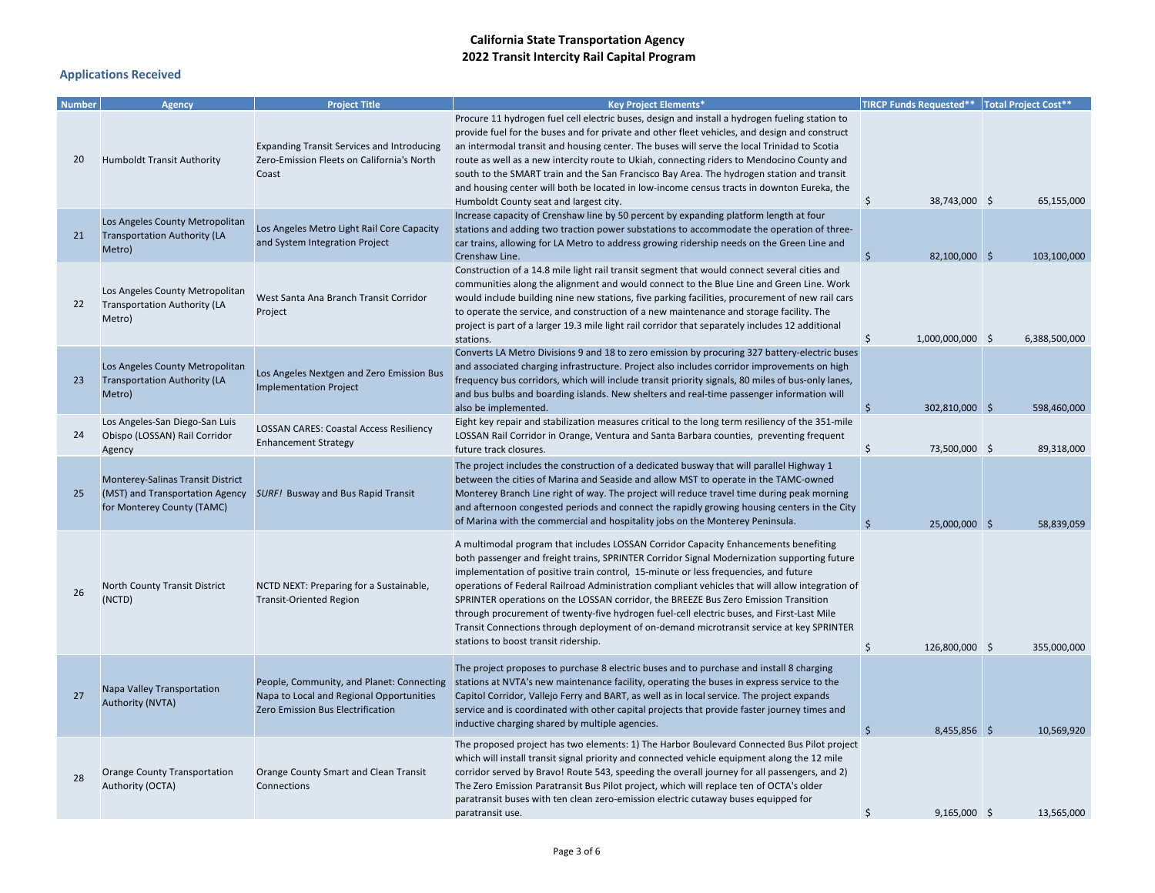| <b>Number</b> | Agency                                                                                             | <b>Project Title</b>                                                                                                       | <b>Key Project Elements*</b>                                                                                                                                                                                                                                                                                                                                                                                                                                                                                                                                                                                                                                                                         |                     | TIRCP Funds Requested**   Total Project Cost** |               |
|---------------|----------------------------------------------------------------------------------------------------|----------------------------------------------------------------------------------------------------------------------------|------------------------------------------------------------------------------------------------------------------------------------------------------------------------------------------------------------------------------------------------------------------------------------------------------------------------------------------------------------------------------------------------------------------------------------------------------------------------------------------------------------------------------------------------------------------------------------------------------------------------------------------------------------------------------------------------------|---------------------|------------------------------------------------|---------------|
| 20            | <b>Humboldt Transit Authority</b>                                                                  | <b>Expanding Transit Services and Introducing</b><br>Zero-Emission Fleets on California's North<br>Coast                   | Procure 11 hydrogen fuel cell electric buses, design and install a hydrogen fueling station to<br>provide fuel for the buses and for private and other fleet vehicles, and design and construct<br>an intermodal transit and housing center. The buses will serve the local Trinidad to Scotia<br>route as well as a new intercity route to Ukiah, connecting riders to Mendocino County and<br>south to the SMART train and the San Francisco Bay Area. The hydrogen station and transit<br>and housing center will both be located in low-income census tracts in downton Eureka, the<br>Humboldt County seat and largest city.                                                                    | \$                  | 38,743,000 \$                                  | 65,155,000    |
| 21            | Los Angeles County Metropolitan<br><b>Transportation Authority (LA</b><br>Metro)                   | Los Angeles Metro Light Rail Core Capacity<br>and System Integration Project                                               | Increase capacity of Crenshaw line by 50 percent by expanding platform length at four<br>stations and adding two traction power substations to accommodate the operation of three-<br>car trains, allowing for LA Metro to address growing ridership needs on the Green Line and<br>Crenshaw Line.                                                                                                                                                                                                                                                                                                                                                                                                   | -Ś                  | 82,100,000 \$                                  | 103,100,000   |
| 22            | Los Angeles County Metropolitan<br><b>Transportation Authority (LA</b><br>Metro)                   | West Santa Ana Branch Transit Corridor<br>Project                                                                          | Construction of a 14.8 mile light rail transit segment that would connect several cities and<br>communities along the alignment and would connect to the Blue Line and Green Line. Work<br>would include building nine new stations, five parking facilities, procurement of new rail cars<br>to operate the service, and construction of a new maintenance and storage facility. The<br>project is part of a larger 19.3 mile light rail corridor that separately includes 12 additional<br>stations.                                                                                                                                                                                               | Ś                   | 1,000,000,000 \$                               | 6,388,500,000 |
| 23            | Los Angeles County Metropolitan<br><b>Transportation Authority (LA</b><br>Metro)                   | Los Angeles Nextgen and Zero Emission Bus<br><b>Implementation Project</b>                                                 | Converts LA Metro Divisions 9 and 18 to zero emission by procuring 327 battery-electric buses<br>and associated charging infrastructure. Project also includes corridor improvements on high<br>frequency bus corridors, which will include transit priority signals, 80 miles of bus-only lanes,<br>and bus bulbs and boarding islands. New shelters and real-time passenger information will<br>also be implemented.                                                                                                                                                                                                                                                                               | -\$                 | 302,810,000 \$                                 | 598,460,000   |
| 24            | Los Angeles-San Diego-San Luis<br>Obispo (LOSSAN) Rail Corridor<br>Agency                          | <b>LOSSAN CARES: Coastal Access Resiliency</b><br><b>Enhancement Strategy</b>                                              | Eight key repair and stabilization measures critical to the long term resiliency of the 351-mile<br>LOSSAN Rail Corridor in Orange, Ventura and Santa Barbara counties, preventing frequent<br>future track closures.                                                                                                                                                                                                                                                                                                                                                                                                                                                                                | \$                  | 73,500,000 \$                                  | 89,318,000    |
| 25            | Monterey-Salinas Transit District<br>(MST) and Transportation Agency<br>for Monterey County (TAMC) | <b>SURF! Busway and Bus Rapid Transit</b>                                                                                  | The project includes the construction of a dedicated busway that will parallel Highway 1<br>between the cities of Marina and Seaside and allow MST to operate in the TAMC-owned<br>Monterey Branch Line right of way. The project will reduce travel time during peak morning<br>and afternoon congested periods and connect the rapidly growing housing centers in the City<br>of Marina with the commercial and hospitality jobs on the Monterey Peninsula.                                                                                                                                                                                                                                        | $\breve{\varsigma}$ | 25,000,000 \$                                  | 58,839,059    |
| 26            | North County Transit District<br>(NCTD)                                                            | NCTD NEXT: Preparing for a Sustainable,<br><b>Transit-Oriented Region</b>                                                  | A multimodal program that includes LOSSAN Corridor Capacity Enhancements benefiting<br>both passenger and freight trains, SPRINTER Corridor Signal Modernization supporting future<br>implementation of positive train control, 15-minute or less frequencies, and future<br>operations of Federal Railroad Administration compliant vehicles that will allow integration of<br>SPRINTER operations on the LOSSAN corridor, the BREEZE Bus Zero Emission Transition<br>through procurement of twenty-five hydrogen fuel-cell electric buses, and First-Last Mile<br>Transit Connections through deployment of on-demand microtransit service at key SPRINTER<br>stations to boost transit ridership. | $\ddot{\mathsf{S}}$ | 126,800,000 \$                                 | 355.000.000   |
| 27            | Napa Valley Transportation<br>Authority (NVTA)                                                     | People, Community, and Planet: Connecting<br>Napa to Local and Regional Opportunities<br>Zero Emission Bus Electrification | The project proposes to purchase 8 electric buses and to purchase and install 8 charging<br>stations at NVTA's new maintenance facility, operating the buses in express service to the<br>Capitol Corridor, Vallejo Ferry and BART, as well as in local service. The project expands<br>service and is coordinated with other capital projects that provide faster journey times and<br>inductive charging shared by multiple agencies.                                                                                                                                                                                                                                                              | $\varsigma$         | 8,455,856 \$                                   | 10,569,920    |
| 28            | Orange County Transportation<br>Authority (OCTA)                                                   | Orange County Smart and Clean Transit<br>Connections                                                                       | The proposed project has two elements: 1) The Harbor Boulevard Connected Bus Pilot project<br>which will install transit signal priority and connected vehicle equipment along the 12 mile<br>corridor served by Bravo! Route 543, speeding the overall journey for all passengers, and 2)<br>The Zero Emission Paratransit Bus Pilot project, which will replace ten of OCTA's older<br>paratransit buses with ten clean zero-emission electric cutaway buses equipped for<br>paratransit use.                                                                                                                                                                                                      | Ś                   | $9,165,000$ \$                                 | 13,565,000    |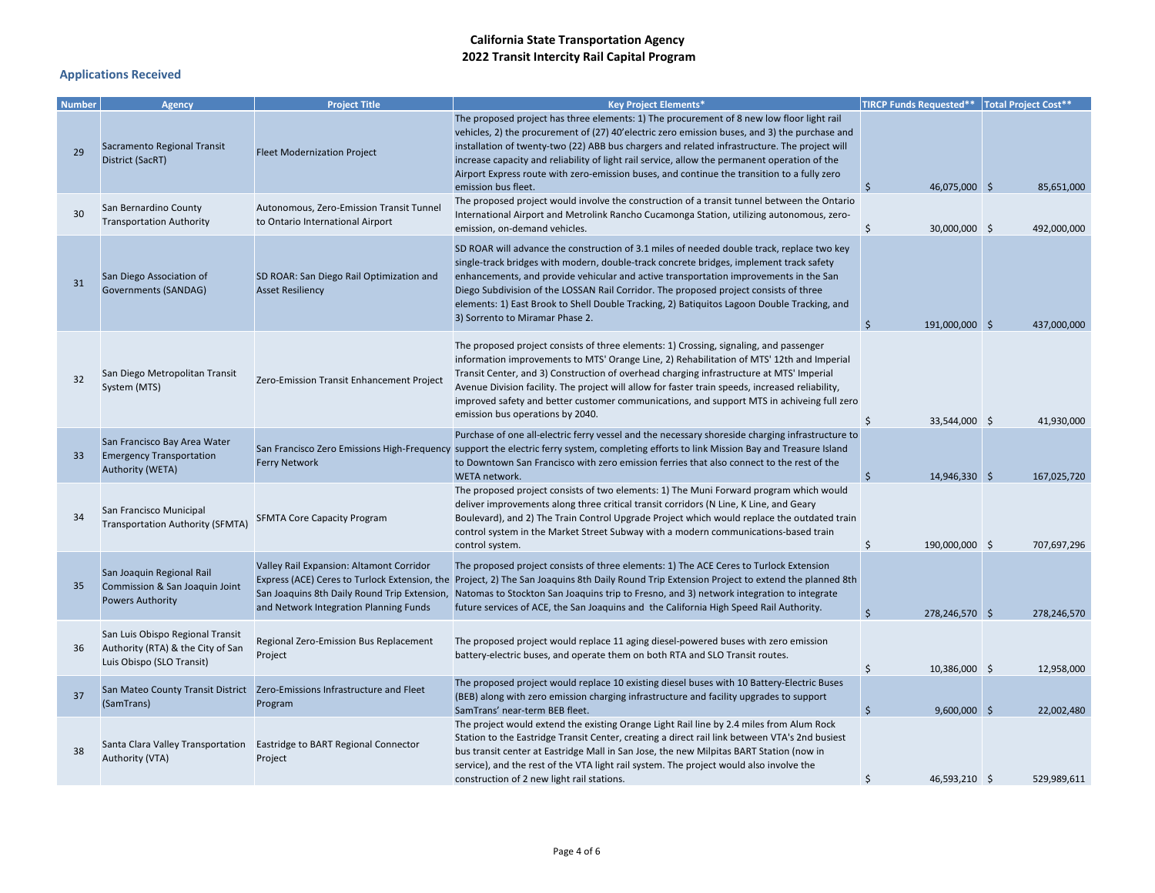| <b>Number</b> | <b>Agency</b>                                                                                      | <b>Project Title</b>                                                                                                               | <b>Key Project Elements*</b>                                                                                                                                                                                                                                                                                                                                                                                                                                                                                          | <b>TIRCP Funds Requested**</b> Total Project Cost** |             |
|---------------|----------------------------------------------------------------------------------------------------|------------------------------------------------------------------------------------------------------------------------------------|-----------------------------------------------------------------------------------------------------------------------------------------------------------------------------------------------------------------------------------------------------------------------------------------------------------------------------------------------------------------------------------------------------------------------------------------------------------------------------------------------------------------------|-----------------------------------------------------|-------------|
| 29            | Sacramento Regional Transit<br>District (SacRT)                                                    | <b>Fleet Modernization Project</b>                                                                                                 | The proposed project has three elements: 1) The procurement of 8 new low floor light rail<br>vehicles, 2) the procurement of (27) 40'electric zero emission buses, and 3) the purchase and<br>installation of twenty-two (22) ABB bus chargers and related infrastructure. The project will<br>increase capacity and reliability of light rail service, allow the permanent operation of the<br>Airport Express route with zero-emission buses, and continue the transition to a fully zero<br>emission bus fleet.    | 46,075,000 \$<br>Ś                                  | 85,651,000  |
| 30            | San Bernardino County<br><b>Transportation Authority</b>                                           | Autonomous, Zero-Emission Transit Tunnel<br>to Ontario International Airport                                                       | The proposed project would involve the construction of a transit tunnel between the Ontario<br>International Airport and Metrolink Rancho Cucamonga Station, utilizing autonomous, zero-<br>emission, on-demand vehicles.                                                                                                                                                                                                                                                                                             | \$<br>30,000,000 \$                                 | 492,000,000 |
| 31            | San Diego Association of<br><b>Governments (SANDAG)</b>                                            | SD ROAR: San Diego Rail Optimization and<br><b>Asset Resiliency</b>                                                                | SD ROAR will advance the construction of 3.1 miles of needed double track, replace two key<br>single-track bridges with modern, double-track concrete bridges, implement track safety<br>enhancements, and provide vehicular and active transportation improvements in the San<br>Diego Subdivision of the LOSSAN Rail Corridor. The proposed project consists of three<br>elements: 1) East Brook to Shell Double Tracking, 2) Batiquitos Lagoon Double Tracking, and<br>3) Sorrento to Miramar Phase 2.             | Ś<br>191,000,000 \$                                 | 437,000,000 |
| 32            | San Diego Metropolitan Transit<br>System (MTS)                                                     | Zero-Emission Transit Enhancement Project                                                                                          | The proposed project consists of three elements: 1) Crossing, signaling, and passenger<br>information improvements to MTS' Orange Line, 2) Rehabilitation of MTS' 12th and Imperial<br>Transit Center, and 3) Construction of overhead charging infrastructure at MTS' Imperial<br>Avenue Division facility. The project will allow for faster train speeds, increased reliability,<br>improved safety and better customer communications, and support MTS in achiveing full zero<br>emission bus operations by 2040. | \$<br>33,544,000 \$                                 | 41,930,000  |
| 33            | San Francisco Bay Area Water<br><b>Emergency Transportation</b><br><b>Authority (WETA)</b>         | <b>Ferry Network</b>                                                                                                               | Purchase of one all-electric ferry vessel and the necessary shoreside charging infrastructure to<br>San Francisco Zero Emissions High-Frequency support the electric ferry system, completing efforts to link Mission Bay and Treasure Island<br>to Downtown San Francisco with zero emission ferries that also connect to the rest of the<br>WETA network.                                                                                                                                                           | 14,946,330 \$<br>Ś                                  | 167,025,720 |
| 34            | San Francisco Municipal<br>Transportation Authority (SFMTA)                                        | <b>SFMTA Core Capacity Program</b>                                                                                                 | The proposed project consists of two elements: 1) The Muni Forward program which would<br>deliver improvements along three critical transit corridors (N Line, K Line, and Geary<br>Boulevard), and 2) The Train Control Upgrade Project which would replace the outdated train<br>control system in the Market Street Subway with a modern communications-based train<br>control system.                                                                                                                             | \$<br>190,000,000 \$                                | 707,697,296 |
| 35            | San Joaquin Regional Rail<br>Commission & San Joaquin Joint<br><b>Powers Authority</b>             | Valley Rail Expansion: Altamont Corridor<br>San Joaquins 8th Daily Round Trip Extension,<br>and Network Integration Planning Funds | The proposed project consists of three elements: 1) The ACE Ceres to Turlock Extension<br>Express (ACE) Ceres to Turlock Extension, the Project, 2) The San Joaquins 8th Daily Round Trip Extension Project to extend the planned 8th<br>Natomas to Stockton San Joaquins trip to Fresno, and 3) network integration to integrate<br>future services of ACE, the San Joaquins and the California High Speed Rail Authority.                                                                                           | Ś<br>278,246,570 \$                                 | 278,246,570 |
| 36            | San Luis Obispo Regional Transit<br>Authority (RTA) & the City of San<br>Luis Obispo (SLO Transit) | Regional Zero-Emission Bus Replacement<br>Project                                                                                  | The proposed project would replace 11 aging diesel-powered buses with zero emission<br>battery-electric buses, and operate them on both RTA and SLO Transit routes.                                                                                                                                                                                                                                                                                                                                                   | Ś<br>10,386,000 \$                                  | 12,958,000  |
| 37            | (SamTrans)                                                                                         | San Mateo County Transit District Zero-Emissions Infrastructure and Fleet<br>Program                                               | The proposed project would replace 10 existing diesel buses with 10 Battery-Electric Buses<br>(BEB) along with zero emission charging infrastructure and facility upgrades to support<br>SamTrans' near-term BEB fleet.                                                                                                                                                                                                                                                                                               | \$<br>$9,600,000$ \$                                | 22,002,480  |
| 38            | Authority (VTA)                                                                                    | Santa Clara Valley Transportation Eastridge to BART Regional Connector<br>Project                                                  | The project would extend the existing Orange Light Rail line by 2.4 miles from Alum Rock<br>Station to the Eastridge Transit Center, creating a direct rail link between VTA's 2nd busiest<br>bus transit center at Eastridge Mall in San Jose, the new Milpitas BART Station (now in<br>service), and the rest of the VTA light rail system. The project would also involve the<br>construction of 2 new light rail stations.                                                                                        | Ś<br>46.593.210 \$                                  | 529.989.611 |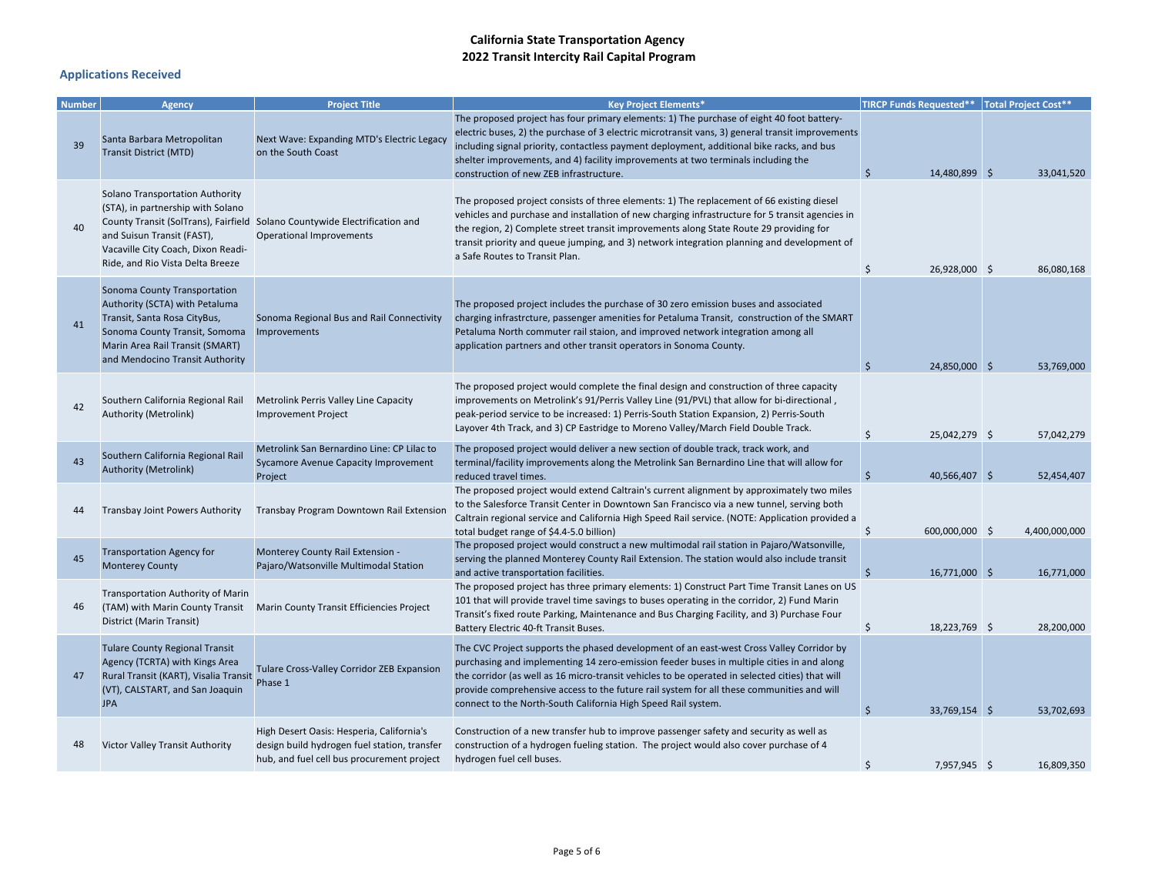| <b>Number</b> | <b>Agency</b>                                                                                                                                                                                         | <b>Project Title</b>                                                                                                                    | <b>Key Project Elements*</b>                                                                                                                                                                                                                                                                                                                                                                                                                           | TIRCP Funds Requested**   Total Project Cost** |               |
|---------------|-------------------------------------------------------------------------------------------------------------------------------------------------------------------------------------------------------|-----------------------------------------------------------------------------------------------------------------------------------------|--------------------------------------------------------------------------------------------------------------------------------------------------------------------------------------------------------------------------------------------------------------------------------------------------------------------------------------------------------------------------------------------------------------------------------------------------------|------------------------------------------------|---------------|
| 39            | Santa Barbara Metropolitan<br><b>Transit District (MTD)</b>                                                                                                                                           | Next Wave: Expanding MTD's Electric Legacy<br>on the South Coast                                                                        | The proposed project has four primary elements: 1) The purchase of eight 40 foot battery-<br>electric buses, 2) the purchase of 3 electric microtransit vans, 3) general transit improvements<br>including signal priority, contactless payment deployment, additional bike racks, and bus<br>shelter improvements, and 4) facility improvements at two terminals including the<br>construction of new ZEB infrastructure.                             | $\ddot{\mathsf{S}}$<br>14,480,899 \$           | 33,041,520    |
| 40            | Solano Transportation Authority<br>(STA), in partnership with Solano<br>and Suisun Transit (FAST),<br>Vacaville City Coach, Dixon Readi-<br>Ride, and Rio Vista Delta Breeze                          | County Transit (SolTrans), Fairfield Solano Countywide Electrification and<br>Operational Improvements                                  | The proposed project consists of three elements: 1) The replacement of 66 existing diesel<br>vehicles and purchase and installation of new charging infrastructure for 5 transit agencies in<br>the region, 2) Complete street transit improvements along State Route 29 providing for<br>transit priority and queue jumping, and 3) network integration planning and development of<br>a Safe Routes to Transit Plan.                                 | \$<br>26,928,000 \$                            | 86,080,168    |
| 41            | Sonoma County Transportation<br>Authority (SCTA) with Petaluma<br>Transit, Santa Rosa CityBus,<br>Sonoma County Transit, Somoma<br>Marin Area Rail Transit (SMART)<br>and Mendocino Transit Authority | Sonoma Regional Bus and Rail Connectivity<br>Improvements                                                                               | The proposed project includes the purchase of 30 zero emission buses and associated<br>charging infrastrcture, passenger amenities for Petaluma Transit, construction of the SMART<br>Petaluma North commuter rail staion, and improved network integration among all<br>application partners and other transit operators in Sonoma County.                                                                                                            | $\ddot{\mathsf{S}}$<br>24.850.000 \$           | 53,769,000    |
| 42            | Southern California Regional Rail<br>Authority (Metrolink)                                                                                                                                            | Metrolink Perris Valley Line Capacity<br><b>Improvement Project</b>                                                                     | The proposed project would complete the final design and construction of three capacity<br>improvements on Metrolink's 91/Perris Valley Line (91/PVL) that allow for bi-directional,<br>peak-period service to be increased: 1) Perris-South Station Expansion, 2) Perris-South<br>Layover 4th Track, and 3) CP Eastridge to Moreno Valley/March Field Double Track.                                                                                   | \$<br>25,042,279 \$                            | 57,042,279    |
| 43            | Southern California Regional Rail<br>Authority (Metrolink)                                                                                                                                            | Metrolink San Bernardino Line: CP Lilac to<br>Sycamore Avenue Capacity Improvement<br>Project                                           | The proposed project would deliver a new section of double track, track work, and<br>terminal/facility improvements along the Metrolink San Bernardino Line that will allow for<br>reduced travel times.                                                                                                                                                                                                                                               | 40,566,407 \$<br>Ŝ                             | 52,454,407    |
| 44            | <b>Transbay Joint Powers Authority</b>                                                                                                                                                                | Transbay Program Downtown Rail Extension                                                                                                | The proposed project would extend Caltrain's current alignment by approximately two miles<br>to the Salesforce Transit Center in Downtown San Francisco via a new tunnel, serving both<br>Caltrain regional service and California High Speed Rail service. (NOTE: Application provided a<br>total budget range of \$4.4-5.0 billion)                                                                                                                  | Ś<br>600,000,000 \$                            | 4,400,000,000 |
| 45            | <b>Transportation Agency for</b><br><b>Monterey County</b>                                                                                                                                            | Monterey County Rail Extension -<br>Pajaro/Watsonville Multimodal Station                                                               | The proposed project would construct a new multimodal rail station in Pajaro/Watsonville,<br>serving the planned Monterey County Rail Extension. The station would also include transit<br>and active transportation facilities.                                                                                                                                                                                                                       | $\zeta$<br>16,771,000 \$                       | 16,771,000    |
| 46            | <b>Transportation Authority of Marin</b><br>(TAM) with Marin County Transit<br>District (Marin Transit)                                                                                               | Marin County Transit Efficiencies Project                                                                                               | The proposed project has three primary elements: 1) Construct Part Time Transit Lanes on US<br>101 that will provide travel time savings to buses operating in the corridor, 2) Fund Marin<br>Transit's fixed route Parking, Maintenance and Bus Charging Facility, and 3) Purchase Four<br>Battery Electric 40-ft Transit Buses.                                                                                                                      | \$<br>18,223,769 \$                            | 28.200.000    |
| 47            | <b>Tulare County Regional Transit</b><br>Agency (TCRTA) with Kings Area<br>Rural Transit (KART), Visalia Transit<br>(VT), CALSTART, and San Joaquin<br><b>JPA</b>                                     | Tulare Cross-Valley Corridor ZEB Expansion<br>Phase 1                                                                                   | The CVC Project supports the phased development of an east-west Cross Valley Corridor by<br>purchasing and implementing 14 zero-emission feeder buses in multiple cities in and along<br>the corridor (as well as 16 micro-transit vehicles to be operated in selected cities) that will<br>provide comprehensive access to the future rail system for all these communities and will<br>connect to the North-South California High Speed Rail system. | $\ddot{\mathsf{S}}$<br>33,769,154 \$           | 53,702,693    |
| 48            | Victor Valley Transit Authority                                                                                                                                                                       | High Desert Oasis: Hesperia, California's<br>design build hydrogen fuel station, transfer<br>hub, and fuel cell bus procurement project | Construction of a new transfer hub to improve passenger safety and security as well as<br>construction of a hydrogen fueling station. The project would also cover purchase of 4<br>hydrogen fuel cell buses.                                                                                                                                                                                                                                          | Ś<br>7.957.945 S                               | 16.809.350    |